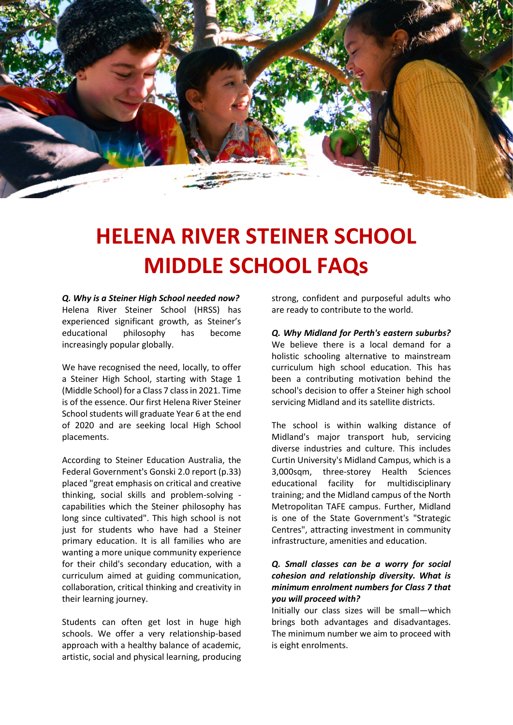

# **HELENA RIVER STEINER SCHOOL MIDDLE SCHOOL FAQs**

*Q. Why is a Steiner High School needed now?*  Helena River Steiner School (HRSS) has experienced significant growth, as Steiner's educational philosophy has become increasingly popular globally.

We have recognised the need, locally, to offer a Steiner High School, starting with Stage 1 (Middle School) for a Class 7 class in 2021. Time is of the essence. Our first Helena River Steiner School students will graduate Year 6 at the end of 2020 and are seeking local High School placements.

According to Steiner Education Australia, the Federal Government's Gonski 2.0 report (p.33) placed "great emphasis on critical and creative thinking, social skills and problem-solving capabilities which the Steiner philosophy has long since cultivated". This high school is not just for students who have had a Steiner primary education. It is all families who are wanting a more unique community experience for their child's secondary education, with a curriculum aimed at guiding communication, collaboration, critical thinking and creativity in their learning journey.

Students can often get lost in huge high schools. We offer a very relationship-based approach with a healthy balance of academic, artistic, social and physical learning, producing

strong, confident and purposeful adults who are ready to contribute to the world.

*Q. Why Midland for Perth's eastern suburbs?* We believe there is a local demand for a holistic schooling alternative to mainstream curriculum high school education. This has been a contributing motivation behind the school's decision to offer a Steiner high school servicing Midland and its satellite districts.

The school is within walking distance of Midland's major transport hub, servicing diverse industries and culture. This includes Curtin University's Midland Campus, which is a 3,000sqm, three-storey Health Sciences educational facility for multidisciplinary training; and the Midland campus of the North Metropolitan TAFE campus. Further, Midland is one of the State Government's "Strategic Centres", attracting investment in community infrastructure, amenities and education.

## *Q. Small classes can be a worry for social cohesion and relationship diversity. What is minimum enrolment numbers for Class 7 that you will proceed with?*

Initially our class sizes will be small—which brings both advantages and disadvantages. The minimum number we aim to proceed with is eight enrolments.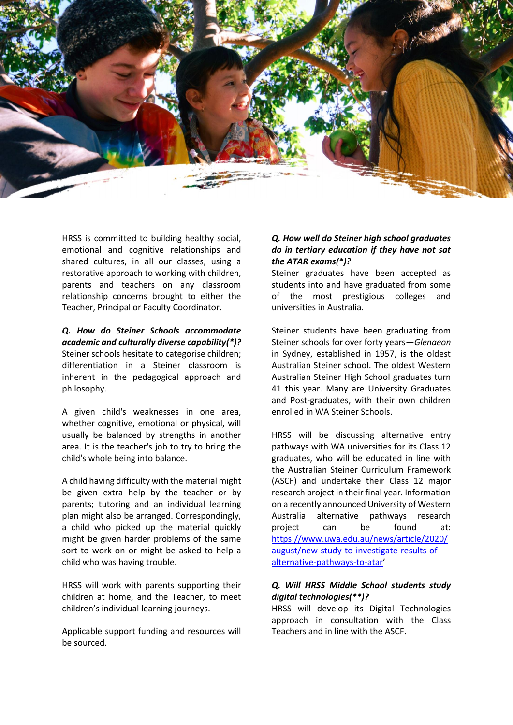

HRSS is committed to building healthy social, emotional and cognitive relationships and shared cultures, in all our classes, using a restorative approach to working with children, parents and teachers on any classroom relationship concerns brought to either the Teacher, Principal or Faculty Coordinator.

*Q. How do Steiner Schools accommodate academic and culturally diverse capability(\*)?* Steiner schools hesitate to categorise children; differentiation in a Steiner classroom is inherent in the pedagogical approach and philosophy.

A given child's weaknesses in one area, whether cognitive, emotional or physical, will usually be balanced by strengths in another area. It is the teacher's job to try to bring the child's whole being into balance.

A child having difficulty with the material might be given extra help by the teacher or by parents; tutoring and an individual learning plan might also be arranged. Correspondingly, a child who picked up the material quickly might be given harder problems of the same sort to work on or might be asked to help a child who was having trouble.

HRSS will work with parents supporting their children at home, and the Teacher, to meet children's individual learning journeys.

Applicable support funding and resources will be sourced.

## *Q. How well do Steiner high school graduates do in tertiary education if they have not sat the ATAR exams(\*)?*

Steiner graduates have been accepted as students into and have graduated from some of the most prestigious colleges and universities in Australia.

Steiner students have been graduating from Steiner schools for over forty years—*Glenaeon* in Sydney, established in 1957, is the oldest Australian Steiner school. The oldest Western Australian Steiner High School graduates turn 41 this year. Many are University Graduates and Post-graduates, with their own children enrolled in WA Steiner Schools.

HRSS will be discussing alternative entry pathways with WA universities for its Class 12 graduates, who will be educated in line with the Australian Steiner Curriculum Framework (ASCF) and undertake their Class 12 major research project in their final year. Information on a recently announced University of Western Australia alternative pathways research project can be found at: [https://www.uwa.edu.au/news/article/2020/](https://www.uwa.edu.au/news/article/2020/august/new-study-to-investigate-results-of-alternative-pathways-to-atar) [august/new-study-to-investigate-results-of](https://www.uwa.edu.au/news/article/2020/august/new-study-to-investigate-results-of-alternative-pathways-to-atar)[alternative-pathways-to-atar](https://www.uwa.edu.au/news/article/2020/august/new-study-to-investigate-results-of-alternative-pathways-to-atar)'

# *Q. Will HRSS Middle School students study digital technologies(\*\*)?*

HRSS will develop its Digital Technologies approach in consultation with the Class Teachers and in line with the ASCF.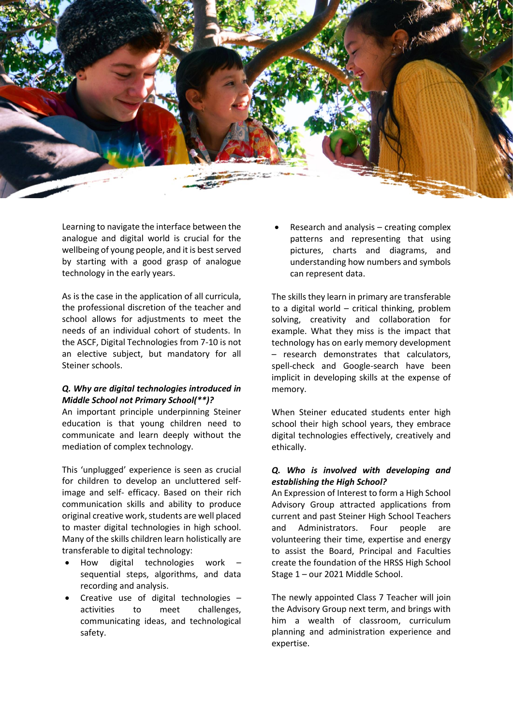

Learning to navigate the interface between the analogue and digital world is crucial for the wellbeing of young people, and it is best served by starting with a good grasp of analogue technology in the early years.

As is the case in the application of all curricula, the professional discretion of the teacher and school allows for adjustments to meet the needs of an individual cohort of students. In the ASCF, Digital Technologies from 7-10 is not an elective subject, but mandatory for all Steiner schools.

## *Q. Why are digital technologies introduced in Middle School not Primary School(\*\*)?*

An important principle underpinning Steiner education is that young children need to communicate and learn deeply without the mediation of complex technology.

This 'unplugged' experience is seen as crucial for children to develop an uncluttered selfimage and self- efficacy. Based on their rich communication skills and ability to produce original creative work, students are well placed to master digital technologies in high school. Many of the skills children learn holistically are transferable to digital technology:

- How digital technologies work sequential steps, algorithms, and data recording and analysis.
- Creative use of digital technologies activities to meet challenges, communicating ideas, and technological safety.

• Research and analysis – creating complex patterns and representing that using pictures, charts and diagrams, and understanding how numbers and symbols can represent data.

The skills they learn in primary are transferable to a digital world – critical thinking, problem solving, creativity and collaboration for example. What they miss is the impact that technology has on early memory development – research demonstrates that calculators, spell-check and Google-search have been implicit in developing skills at the expense of memory.

When Steiner educated students enter high school their high school years, they embrace digital technologies effectively, creatively and ethically.

## *Q. Who is involved with developing and establishing the High School?*

An Expression of Interest to form a High School Advisory Group attracted applications from current and past Steiner High School Teachers and Administrators. Four people are volunteering their time, expertise and energy to assist the Board, Principal and Faculties create the foundation of the HRSS High School Stage 1 – our 2021 Middle School.

The newly appointed Class 7 Teacher will join the Advisory Group next term, and brings with him a wealth of classroom, curriculum planning and administration experience and expertise.